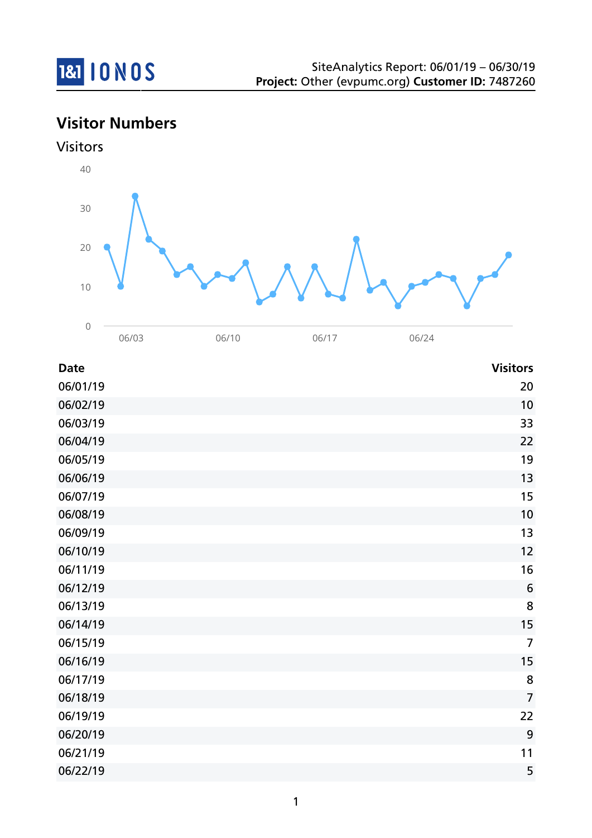

**Visitor Numbers**



| <b>Date</b> | <b>Visitors</b> |
|-------------|-----------------|
| 06/01/19    | 20              |
| 06/02/19    | 10              |
| 06/03/19    | 33              |
| 06/04/19    | 22              |
| 06/05/19    | 19              |
| 06/06/19    | 13              |
| 06/07/19    | 15              |
| 06/08/19    | 10              |
| 06/09/19    | 13              |
| 06/10/19    | 12              |
| 06/11/19    | 16              |
| 06/12/19    | $6\phantom{1}6$ |
| 06/13/19    | 8               |
| 06/14/19    | 15              |
| 06/15/19    | $\overline{7}$  |
| 06/16/19    | 15              |
| 06/17/19    | 8               |
| 06/18/19    | $\overline{7}$  |
| 06/19/19    | 22              |
| 06/20/19    | 9               |
| 06/21/19    | 11              |
| 06/22/19    | 5               |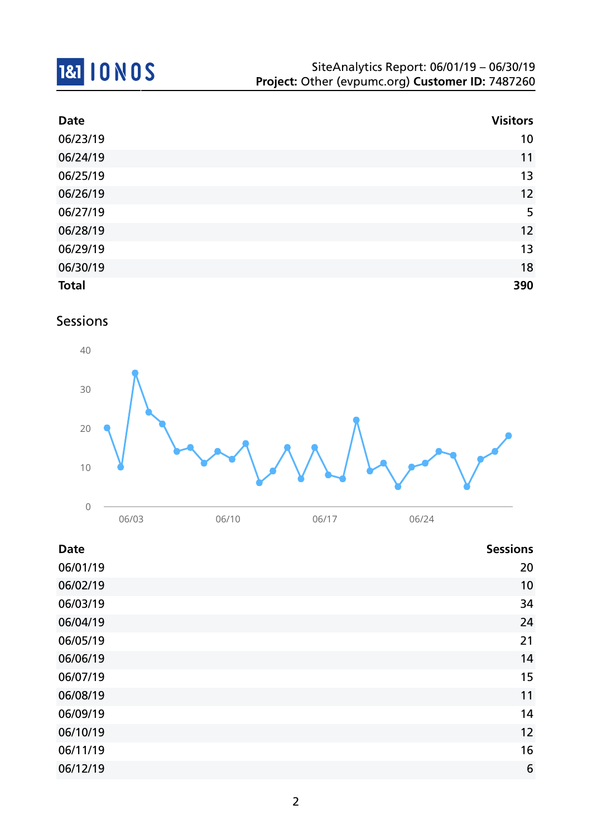# **1&1 10 NOS**

| <b>Date</b>  | <b>Visitors</b> |
|--------------|-----------------|
| 06/23/19     | 10              |
| 06/24/19     | 11              |
| 06/25/19     | 13              |
| 06/26/19     | 12              |
| 06/27/19     | 5               |
| 06/28/19     | 12              |
| 06/29/19     | 13              |
| 06/30/19     | 18              |
| <b>Total</b> | 390             |

## Sessions



| <b>Date</b> | <b>Sessions</b> |
|-------------|-----------------|
| 06/01/19    | 20              |
| 06/02/19    | 10              |
| 06/03/19    | 34              |
| 06/04/19    | 24              |
| 06/05/19    | 21              |
| 06/06/19    | 14              |
| 06/07/19    | 15              |
| 06/08/19    | 11              |
| 06/09/19    | 14              |
| 06/10/19    | 12              |
| 06/11/19    | 16              |
| 06/12/19    | 6               |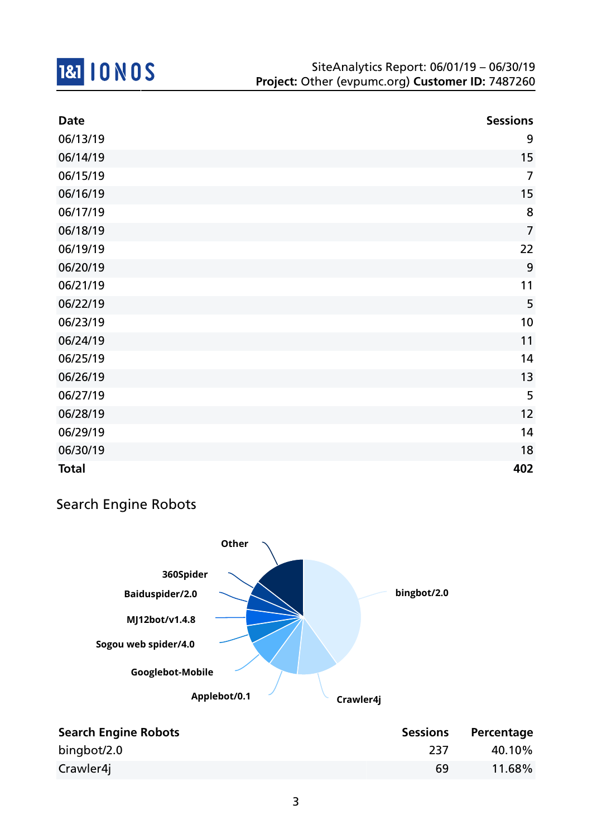

| <b>Date</b>  | <b>Sessions</b> |
|--------------|-----------------|
| 06/13/19     | 9               |
| 06/14/19     | 15              |
| 06/15/19     | $\overline{7}$  |
| 06/16/19     | 15              |
| 06/17/19     | 8               |
| 06/18/19     | $\overline{7}$  |
| 06/19/19     | 22              |
| 06/20/19     | 9               |
| 06/21/19     | 11              |
| 06/22/19     | 5               |
| 06/23/19     | 10              |
| 06/24/19     | 11              |
| 06/25/19     | 14              |
| 06/26/19     | 13              |
| 06/27/19     | 5               |
| 06/28/19     | 12              |
| 06/29/19     | 14              |
| 06/30/19     | 18              |
| <b>Total</b> | 402             |

## Search Engine Robots



| <b>Search Engine Robots</b> | <b>Sessions</b> | Percentage |
|-----------------------------|-----------------|------------|
| bingbot/2.0                 | 237             | 40.10%     |
| Crawler4j                   | 69              | 11.68%     |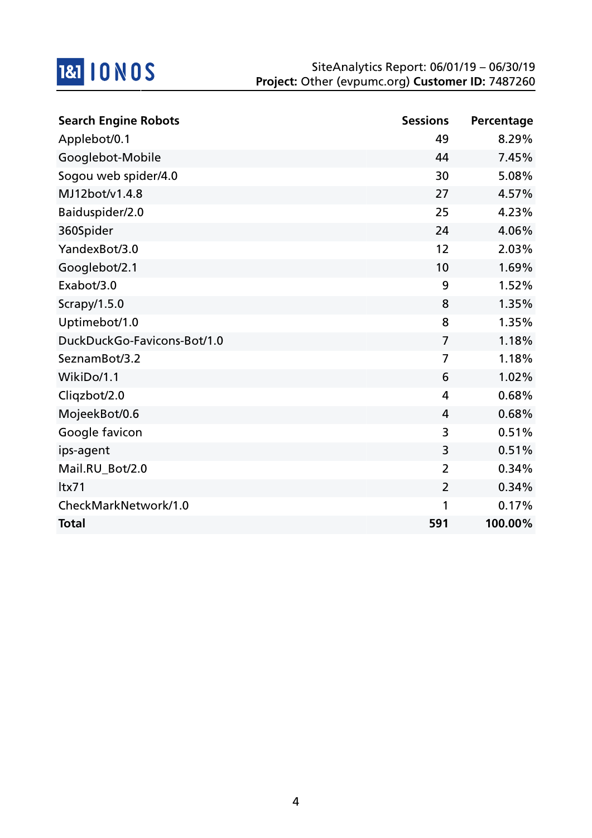

| <b>Search Engine Robots</b> | <b>Sessions</b> | Percentage |
|-----------------------------|-----------------|------------|
| Applebot/0.1                | 49              | 8.29%      |
| Googlebot-Mobile            | 44              | 7.45%      |
| Sogou web spider/4.0        | 30              | 5.08%      |
| MJ12bot/v1.4.8              | 27              | 4.57%      |
| Baiduspider/2.0             | 25              | 4.23%      |
| 360Spider                   | 24              | 4.06%      |
| YandexBot/3.0               | 12              | 2.03%      |
| Googlebot/2.1               | 10              | 1.69%      |
| Exabot/3.0                  | 9               | 1.52%      |
| Scrapy/1.5.0                | 8               | 1.35%      |
| Uptimebot/1.0               | 8               | 1.35%      |
| DuckDuckGo-Favicons-Bot/1.0 | $\overline{7}$  | 1.18%      |
| SeznamBot/3.2               | $\overline{7}$  | 1.18%      |
| WikiDo/1.1                  | 6               | 1.02%      |
| Cliqzbot/2.0                | 4               | 0.68%      |
| MojeekBot/0.6               | 4               | 0.68%      |
| Google favicon              | 3               | 0.51%      |
| ips-agent                   | 3               | 0.51%      |
| Mail.RU_Bot/2.0             | $\overline{2}$  | 0.34%      |
| Itx71                       | $\overline{2}$  | 0.34%      |
| CheckMarkNetwork/1.0        | 1               | 0.17%      |
| <b>Total</b>                | 591             | 100.00%    |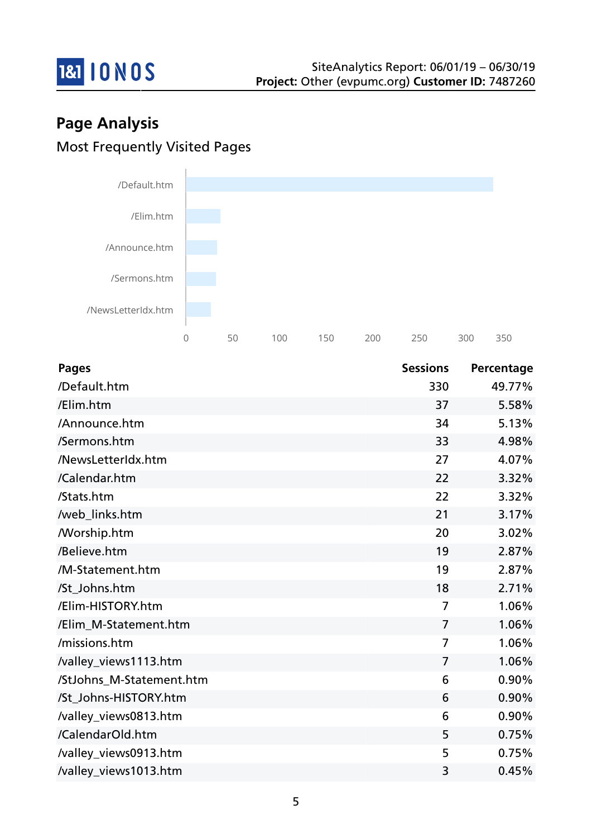

# **Page Analysis** Most Frequently Visited Pages



| <b>Pages</b>             | <b>Sessions</b> | Percentage |
|--------------------------|-----------------|------------|
| /Default.htm             | 330             | 49.77%     |
| /Elim.htm                | 37              | 5.58%      |
| /Announce.htm            | 34              | 5.13%      |
| /Sermons.htm             | 33              | 4.98%      |
| /NewsLetterIdx.htm       | 27              | 4.07%      |
| /Calendar.htm            | 22              | 3.32%      |
| /Stats.htm               | 22              | 3.32%      |
| /web_links.htm           | 21              | 3.17%      |
| <b>Morship.htm</b>       | 20              | 3.02%      |
| /Believe.htm             | 19              | 2.87%      |
| /M-Statement.htm         | 19              | 2.87%      |
| /St Johns.htm            | 18              | 2.71%      |
| /Elim-HISTORY.htm        | $\overline{7}$  | 1.06%      |
| /Elim_M-Statement.htm    | $\overline{7}$  | 1.06%      |
| /missions.htm            | $\overline{7}$  | 1.06%      |
| /valley_views1113.htm    | $\overline{7}$  | 1.06%      |
| /StJohns_M-Statement.htm | 6               | 0.90%      |
| /St Johns-HISTORY.htm    | 6               | 0.90%      |
| /valley_views0813.htm    | 6               | 0.90%      |
| /CalendarOld.htm         | 5               | 0.75%      |
| /valley_views0913.htm    | 5               | 0.75%      |
| /valley_views1013.htm    | 3               | 0.45%      |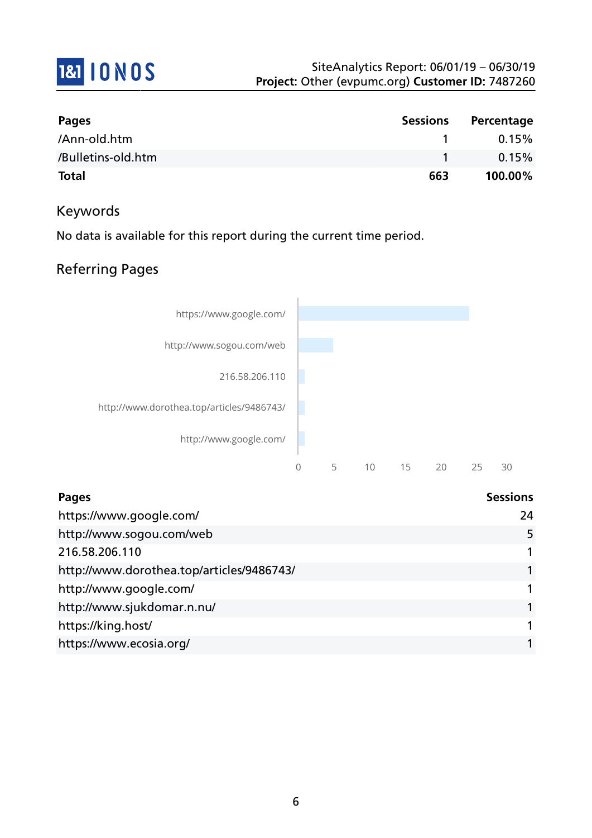

| Pages              | <b>Sessions</b> | Percentage |
|--------------------|-----------------|------------|
| /Ann-old.htm       |                 | 0.15%      |
| /Bulletins-old.htm |                 | 0.15%      |
| <b>Total</b>       | 663             | 100.00%    |

#### Keywords

No data is available for this report during the current time period.

## Referring Pages



| Pages                                     | <b>Sessions</b> |
|-------------------------------------------|-----------------|
| https://www.google.com/                   | 24              |
| http://www.sogou.com/web                  | 5               |
| 216.58.206.110                            |                 |
| http://www.dorothea.top/articles/9486743/ |                 |
| http://www.google.com/                    |                 |
| http://www.sjukdomar.n.nu/                |                 |
| https://king.host/                        |                 |
| https://www.ecosia.org/                   |                 |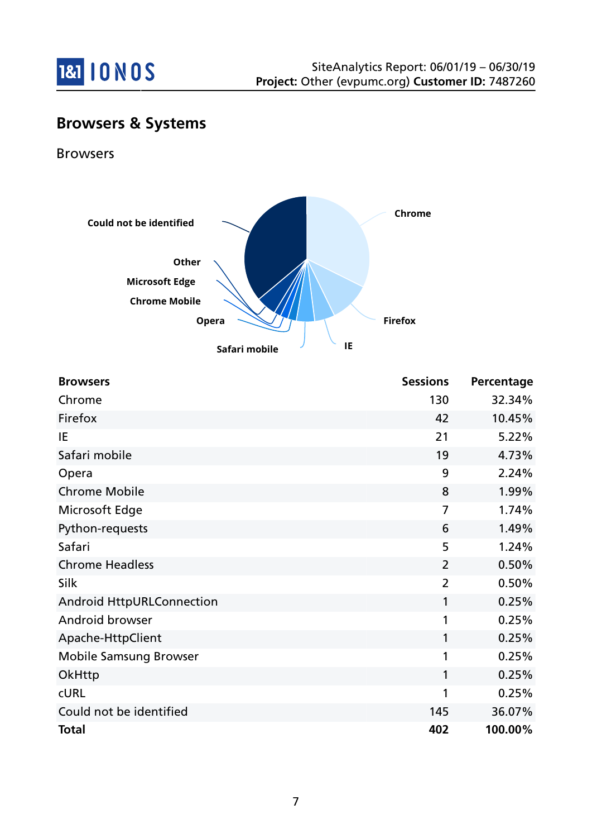

## **Browsers & Systems**

Browsers



| <b>Browsers</b>                  | <b>Sessions</b> | Percentage |
|----------------------------------|-----------------|------------|
| Chrome                           | 130             | 32.34%     |
| Firefox                          | 42              | 10.45%     |
| IE                               | 21              | 5.22%      |
| Safari mobile                    | 19              | 4.73%      |
| Opera                            | 9               | 2.24%      |
| <b>Chrome Mobile</b>             | 8               | 1.99%      |
| Microsoft Edge                   | $\overline{7}$  | 1.74%      |
| Python-requests                  | 6               | 1.49%      |
| Safari                           | 5               | 1.24%      |
| <b>Chrome Headless</b>           | $\overline{2}$  | 0.50%      |
| Silk                             | $\overline{2}$  | 0.50%      |
| <b>Android HttpURLConnection</b> | 1               | 0.25%      |
| Android browser                  | 1               | 0.25%      |
| Apache-HttpClient                | 1               | 0.25%      |
| <b>Mobile Samsung Browser</b>    | 1               | 0.25%      |
| OkHttp                           | 1               | 0.25%      |
| <b>CURL</b>                      | 1               | 0.25%      |
| Could not be identified          | 145             | 36.07%     |
| <b>Total</b>                     | 402             | 100.00%    |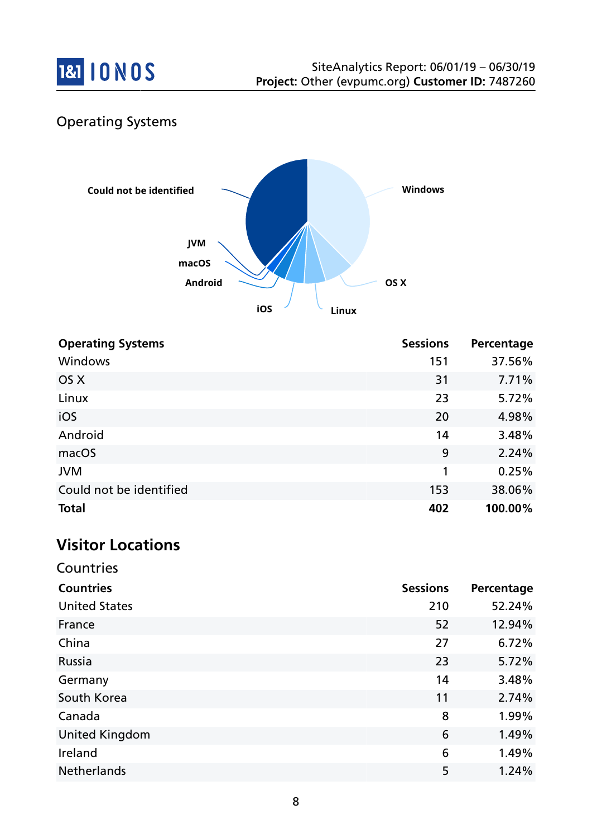

## Operating Systems



| <b>Operating Systems</b> | <b>Sessions</b> | Percentage |
|--------------------------|-----------------|------------|
| Windows                  | 151             | 37.56%     |
| OS X                     | 31              | 7.71%      |
| Linux                    | 23              | 5.72%      |
| iOS                      | 20              | 4.98%      |
| Android                  | 14              | 3.48%      |
| macOS                    | 9               | 2.24%      |
| <b>JVM</b>               | 1               | 0.25%      |
| Could not be identified  | 153             | 38.06%     |
| <b>Total</b>             | 402             | 100.00%    |

## **Visitor Locations**

Countries

| <b>Sessions</b> | Percentage |
|-----------------|------------|
| 210             | 52.24%     |
| 52              | 12.94%     |
| 27              | 6.72%      |
| 23              | 5.72%      |
| 14              | 3.48%      |
| 11              | 2.74%      |
| 8               | 1.99%      |
| 6               | 1.49%      |
| 6               | 1.49%      |
| 5               | 1.24%      |
|                 |            |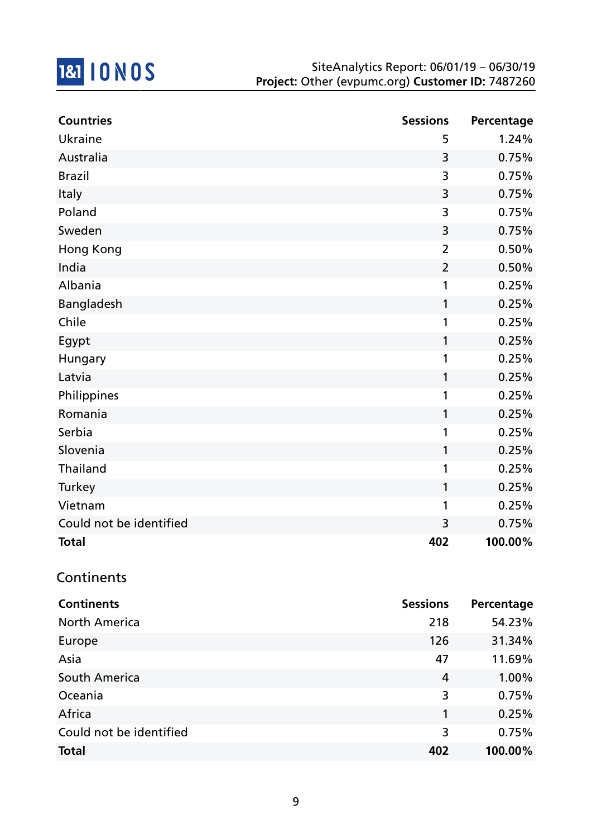

| <b>Countries</b>        | <b>Sessions</b> | Percentage |
|-------------------------|-----------------|------------|
| Ukraine                 | 5               | 1.24%      |
| Australia               | 3               | 0.75%      |
| <b>Brazil</b>           | 3               | 0.75%      |
| Italy                   | 3               | 0.75%      |
| Poland                  | 3               | 0.75%      |
| Sweden                  | 3               | 0.75%      |
| Hong Kong               | $\overline{2}$  | 0.50%      |
| India                   | $\overline{2}$  | 0.50%      |
| Albania                 | 1               | 0.25%      |
| Bangladesh              | $\mathbf{1}$    | 0.25%      |
| Chile                   | 1               | 0.25%      |
| Egypt                   | 1               | 0.25%      |
| Hungary                 | 1               | 0.25%      |
| Latvia                  | 1               | 0.25%      |
| Philippines             | 1               | 0.25%      |
| Romania                 | 1               | 0.25%      |
| Serbia                  | 1               | 0.25%      |
| Slovenia                | 1               | 0.25%      |
| Thailand                | 1               | 0.25%      |
| Turkey                  | 1               | 0.25%      |
| Vietnam                 | 1               | 0.25%      |
| Could not be identified | 3               | 0.75%      |
| <b>Total</b>            | 402             | 100.00%    |

## **Continents**

| <b>Continents</b>       | <b>Sessions</b> | Percentage |
|-------------------------|-----------------|------------|
| <b>North America</b>    | 218             | 54.23%     |
| Europe                  | 126             | 31.34%     |
| Asia                    | 47              | 11.69%     |
| South America           | 4               | 1.00%      |
| Oceania                 | 3               | 0.75%      |
| Africa                  | 1               | 0.25%      |
| Could not be identified | 3               | 0.75%      |
| <b>Total</b>            | 402             | 100.00%    |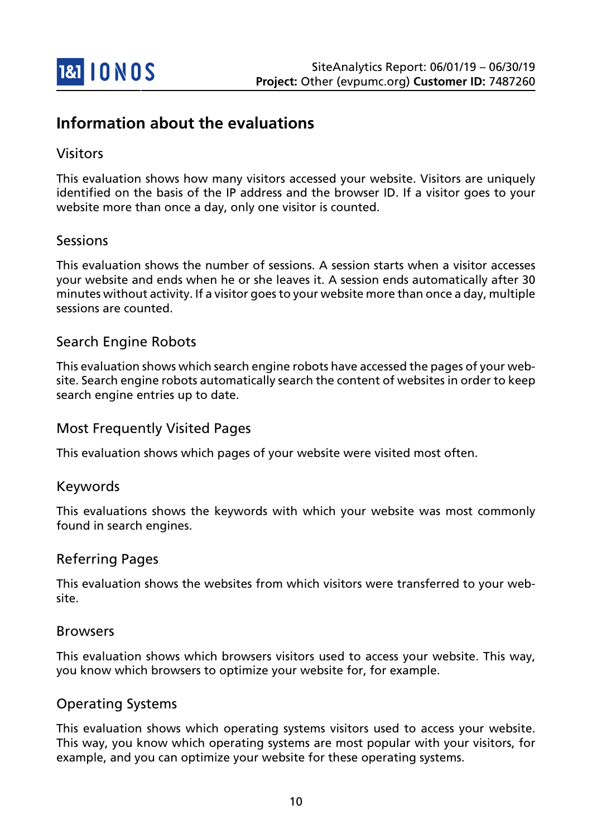

## **Information about the evaluations**

#### Visitors

This evaluation shows how many visitors accessed your website. Visitors are uniquely identified on the basis of the IP address and the browser ID. If a visitor goes to your website more than once a day, only one visitor is counted.

#### Sessions

This evaluation shows the number of sessions. A session starts when a visitor accesses your website and ends when he or she leaves it. A session ends automatically after 30 minutes without activity. If a visitor goes to your website more than once a day, multiple sessions are counted.

#### Search Engine Robots

This evaluation shows which search engine robots have accessed the pages of your website. Search engine robots automatically search the content of websites in order to keep search engine entries up to date.

#### Most Frequently Visited Pages

This evaluation shows which pages of your website were visited most often.

#### Keywords

This evaluations shows the keywords with which your website was most commonly found in search engines.

#### Referring Pages

This evaluation shows the websites from which visitors were transferred to your website.

#### Browsers

This evaluation shows which browsers visitors used to access your website. This way, you know which browsers to optimize your website for, for example.

#### Operating Systems

This evaluation shows which operating systems visitors used to access your website. This way, you know which operating systems are most popular with your visitors, for example, and you can optimize your website for these operating systems.